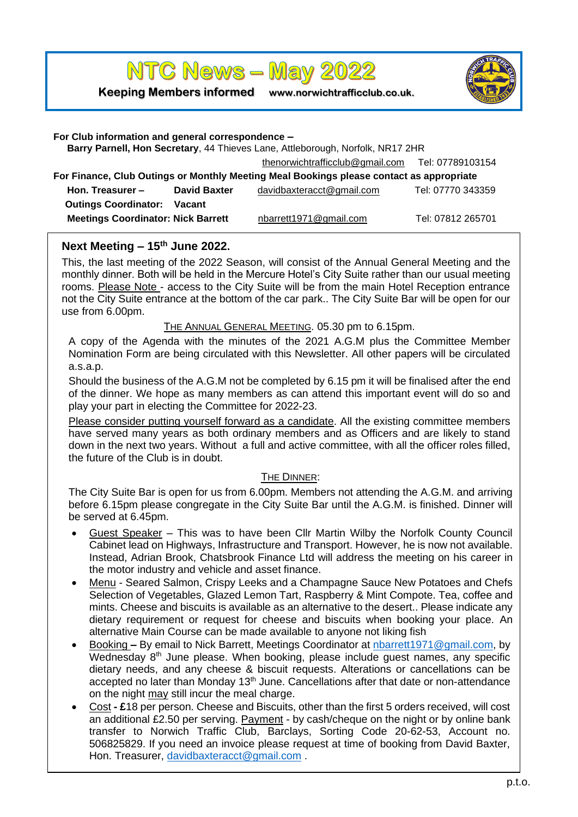**NTC News - May 2022** 

**Keeping Members informed www.norwichtrafficclub.co.uk.**



| For Club information and general correspondence -<br>Barry Parnell, Hon Secretary, 44 Thieves Lane, Attleborough, Norfolk, NR17 2HR |                     |                                                  |                   |
|-------------------------------------------------------------------------------------------------------------------------------------|---------------------|--------------------------------------------------|-------------------|
|                                                                                                                                     |                     | thenorwichtrafficclub@gmail.com Tel: 07789103154 |                   |
| For Finance, Club Outings or Monthly Meeting Meal Bookings please contact as appropriate                                            |                     |                                                  |                   |
| Hon. Treasurer -                                                                                                                    | <b>David Baxter</b> | davidbaxteracct@gmail.com                        | Tel: 07770 343359 |
| <b>Outings Coordinator:</b>                                                                                                         | Vacant              |                                                  |                   |
| <b>Meetings Coordinator: Nick Barrett</b>                                                                                           |                     | nbarrett1971@gmail.com                           | Tel: 07812 265701 |

## **Next Meeting – 15th June 2022.**

This, the last meeting of the 2022 Season, will consist of the Annual General Meeting and the monthly dinner. Both will be held in the Mercure Hotel's City Suite rather than our usual meeting rooms. Please Note - access to the City Suite will be from the main Hotel Reception entrance not the City Suite entrance at the bottom of the car park.. The City Suite Bar will be open for our use from 6.00pm.

#### THE ANNUAL GENERAL MEETING. 05.30 pm to 6.15pm.

A copy of the Agenda with the minutes of the 2021 A.G.M plus the Committee Member Nomination Form are being circulated with this Newsletter. All other papers will be circulated a.s.a.p.

Should the business of the A.G.M not be completed by 6.15 pm it will be finalised after the end of the dinner. We hope as many members as can attend this important event will do so and play your part in electing the Committee for 2022-23.

Please consider putting yourself forward as a candidate. All the existing committee members have served many years as both ordinary members and as Officers and are likely to stand down in the next two years. Without a full and active committee, with all the officer roles filled, the future of the Club is in doubt.

#### THE DINNER:

The City Suite Bar is open for us from 6.00pm. Members not attending the A.G.M. and arriving before 6.15pm please congregate in the City Suite Bar until the A.G.M. is finished. Dinner will be served at 6.45pm.

- Guest Speaker This was to have been Cllr Martin Wilby the Norfolk County Council Cabinet lead on Highways, Infrastructure and Transport. However, he is now not available. Instead, Adrian Brook, Chatsbrook Finance Ltd will [address the meeting on his career in](https://www.chatsbrook.co.uk/)  [the motor industry and vehicle and asset finance.](https://www.chatsbrook.co.uk/)
- Menu Seared Salmon, Crispy Leeks and a Champagne Sauce New Potatoes and Chefs Selection of Vegetables, Glazed Lemon Tart, Raspberry & Mint Compote. Tea, coffee and mints. Cheese and biscuits is available as an alternative to the desert.. Please indicate any dietary requirement or request for cheese and biscuits when booking your place. An alternative Main Course can be made available to anyone not liking fish
- Booking **–** By email to Nick Barrett, Meetings Coordinator at [nbarrett1971@gmail.com,](mailto:nbarrett1971@gmail.com) by Wednesday 8<sup>th</sup> June please. When booking, please include guest names, any specific dietary needs, and any cheese & biscuit requests. Alterations or cancellations can be accepted no later than Monday 13<sup>th</sup> June. Cancellations after that date or non-attendance on the night may still incur the meal charge.
- Cost **- £**18 per person. Cheese and Biscuits, other than the first 5 orders received, will cost an additional £2.50 per serving. Payment - by cash/cheque on the night or by online bank transfer to Norwich Traffic Club, Barclays, Sorting Code 20-62-53, Account no. 506825829. If you need an invoice please request at time of booking from David Baxter, Hon. Treasurer, [davidbaxteracct@gmail.com](mailto:davidbaxteracct@gmail.com).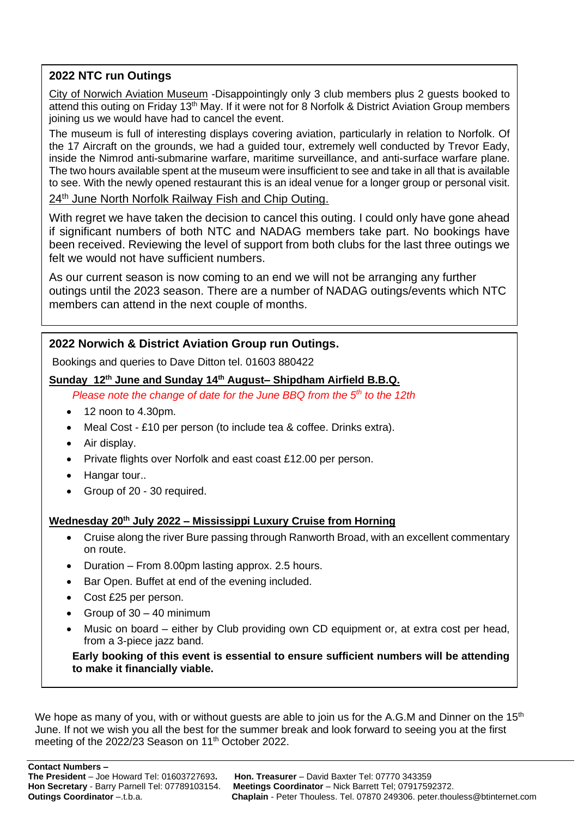## **2022 NTC run Outings**

City of Norwich Aviation Museum -Disappointingly only 3 club members plus 2 guests booked to attend this outing on Friday 13<sup>th</sup> May. If it were not for 8 Norfolk & District Aviation Group members joining us we would have had to cancel the event.

The museum is full of interesting displays covering aviation, particularly in relation to Norfolk. Of the 17 Aircraft on the grounds, we had a guided tour, extremely well conducted by Trevor Eady, inside the Nimrod anti-submarine warfare, maritime surveillance, and anti-surface warfare plane. The two hours available spent at the museum were insufficient to see and take in all that is available to see. With the newly opened restaurant this is an ideal venue for a longer group or personal visit.

24<sup>th</sup> June North Norfolk Railway Fish and Chip Outing.

With regret we have taken the decision to cancel this outing. I could only have gone ahead if significant numbers of both NTC and NADAG members take part. No bookings have been received. Reviewing the level of support from both clubs for the last three outings we felt we would not have sufficient numbers.

As our current season is now coming to an end we will not be arranging any further outings until the 2023 season. There are a number of NADAG outings/events which NTC members can attend in the next couple of months.

# **2022 Norwich & District Aviation Group run Outings.**

Bookings and queries to Dave Ditton tel. 01603 880422

## **Sunday 12th June and Sunday 14th August– Shipdham Airfield B.B.Q.**

*Please note the change of date for the June BBQ from the 5th to the 12th* 

- 12 noon to 4.30pm.
- Meal Cost £10 per person (to include tea & coffee. Drinks extra).
- Air display.
- Private flights over Norfolk and east coast £12.00 per person.
- Hangar tour..
- Group of 20 30 required.

### **Wednesday 20th July 2022 – Mississippi Luxury Cruise from Horning**

- Cruise along the river Bure passing through Ranworth Broad, with an excellent commentary on route.
- Duration From 8.00pm lasting approx. 2.5 hours.
- Bar Open. Buffet at end of the evening included.
- Cost £25 per person.
- Group of  $30 40$  minimum
- Music on board either by Club providing own CD equipment or, at extra cost per head, from a 3-piece jazz band.

**Early booking of this event is essential to ensure sufficient numbers will be attending to make it financially viable.**

We hope as many of you, with or without guests are able to join us for the A.G.M and Dinner on the 15<sup>th</sup> June. If not we wish you all the best for the summer break and look forward to seeing you at the first meeting of the 2022/23 Season on 11<sup>th</sup> October 2022.

**Contact Numbers –**